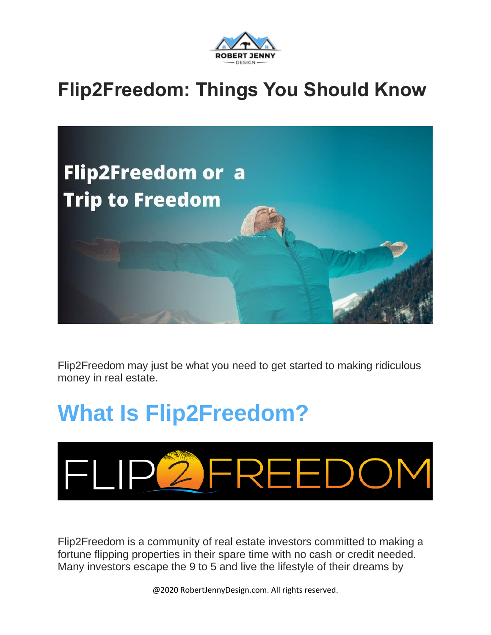

#### **Flip2Freedom: Things You Should Know**



Flip2Freedom may just be what you need to get started to making ridiculous money in real estate.

# **What Is Flip2Freedom?**



Flip2Freedom is a community of real estate investors committed to making a fortune flipping properties in their spare time with no cash or credit needed. Many investors escape the 9 to 5 and live the lifestyle of their dreams by

@2020 RobertJennyDesign.com. All rights reserved.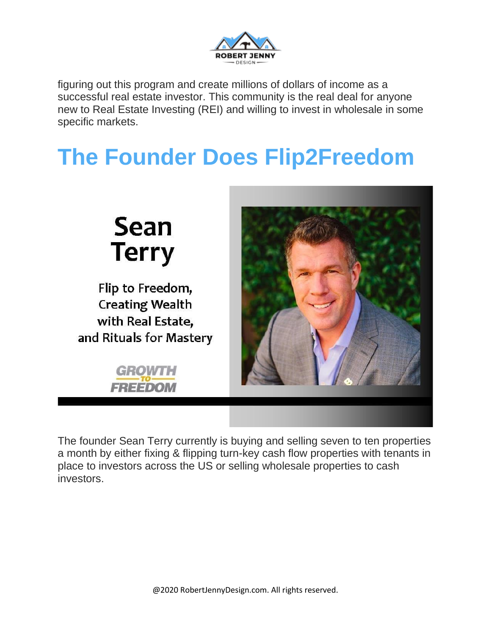

figuring out this program and create millions of dollars of income as a successful real estate investor. This community is the real deal for anyone new to Real Estate Investing (REI) and willing to invest in wholesale in some specific markets.

# **The Founder Does Flip2Freedom**



The founder Sean Terry currently is buying and selling seven to ten properties a month by either fixing & flipping turn-key cash flow properties with tenants in place to investors across the US or selling wholesale properties to cash investors.

@2020 RobertJennyDesign.com. All rights reserved.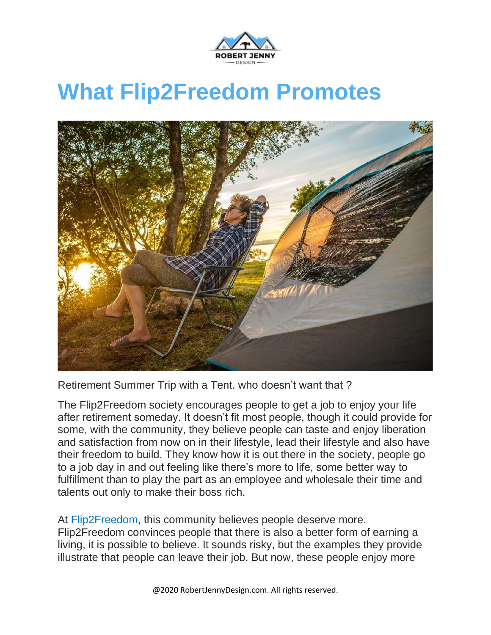

## **What Flip2Freedom Promotes**



Retirement Summer Trip with a Tent. who doesn't want that ?

The Flip2Freedom society encourages people to get a job to enjoy your life after retirement someday. It doesn't fit most people, though it could provide for some, with the community, they believe people can taste and enjoy liberation and satisfaction from now on in their lifestyle, lead their lifestyle and also have their freedom to build. They know how it is out there in the society, people go to a job day in and out feeling like there's more to life, some better way to fulfillment than to play the part as an employee and wholesale their time and talents out only to make their boss rich.

At [Flip2Freedom,](http://flip2freedom.com/) this community believes people deserve more. Flip2Freedom convinces people that there is also a better form of earning a living, it is possible to believe. It sounds risky, but the examples they provide illustrate that people can leave their job. But now, these people enjoy more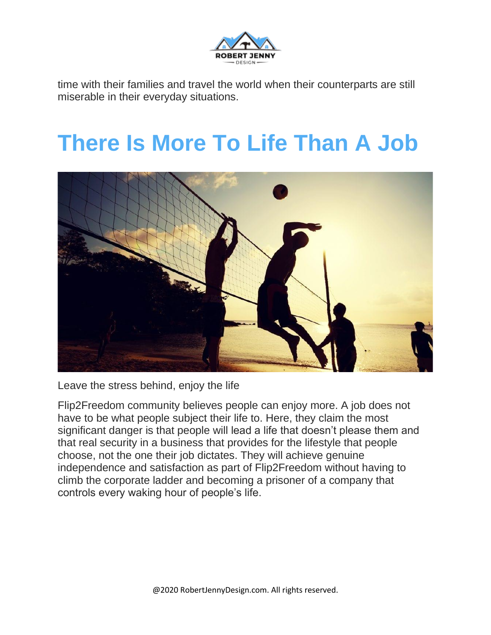

time with their families and travel the world when their counterparts are still miserable in their everyday situations.

### **There Is More To Life Than A Job**



Leave the stress behind, enjoy the life

Flip2Freedom community believes people can enjoy more. A job does not have to be what people subject their life to. Here, they claim the most significant danger is that people will lead a life that doesn't please them and that real security in a business that provides for the lifestyle that people choose, not the one their job dictates. They will achieve genuine independence and satisfaction as part of Flip2Freedom without having to climb the corporate ladder and becoming a prisoner of a company that controls every waking hour of people's life.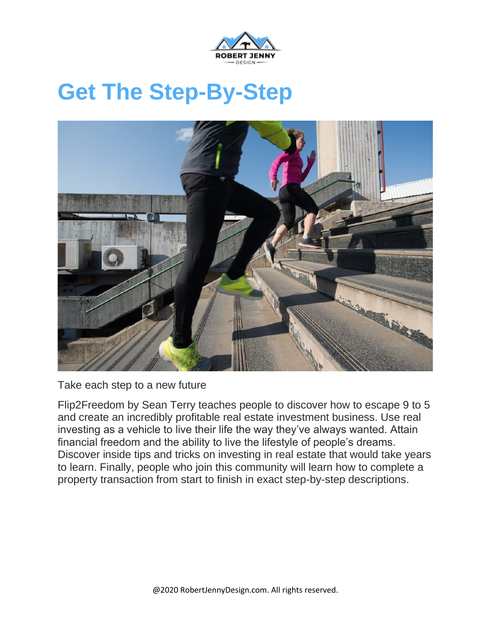

## **Get The Step-By-Step**



Take each step to a new future

Flip2Freedom by Sean Terry teaches people to discover how to escape 9 to 5 and create an incredibly profitable real estate investment business. Use real investing as a vehicle to live their life the way they've always wanted. Attain financial freedom and the ability to live the lifestyle of people's dreams. Discover inside tips and tricks on investing in real estate that would take years to learn. Finally, people who join this community will learn how to complete a property transaction from start to finish in exact step-by-step descriptions.